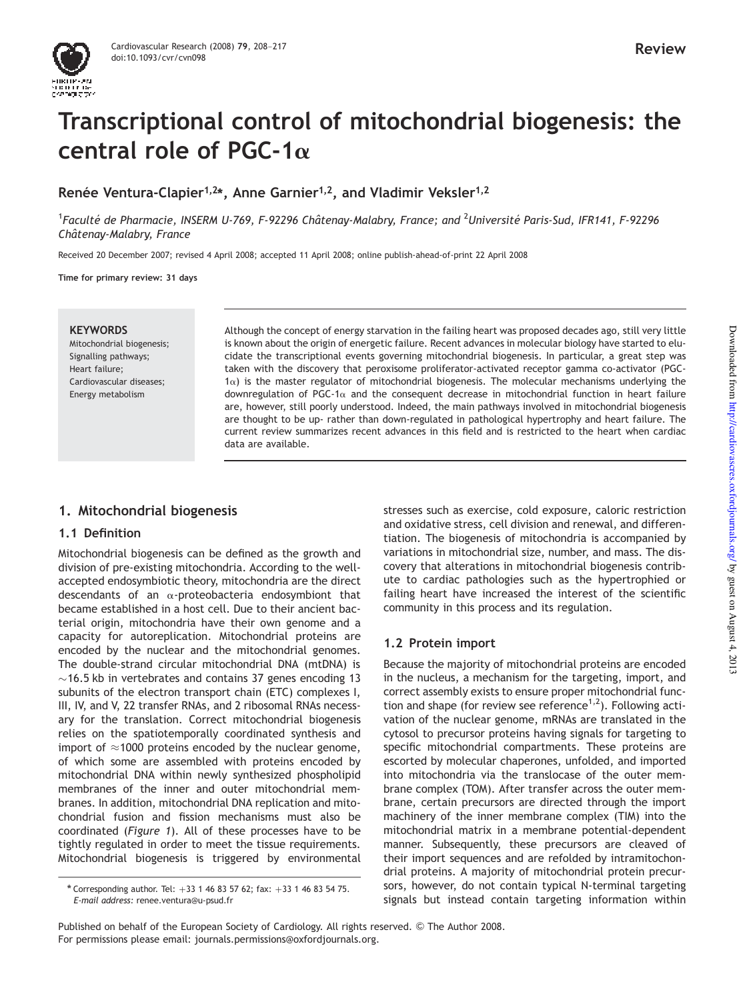# Transcriptional control of mitochondrial biogenesis: the central role of PGC-1 $\alpha$

Renée Ventura-Clapier<sup>1,2\*</sup>, Anne Garnier<sup>1,2</sup>, and Vladimir Veksler<sup>1,2</sup>

1 *Faculte´ de Pharmacie, INSERM U-769, F-92296 Chaˆtenay-Malabry, France; and* <sup>2</sup>*Universite´ Paris-Sud, IFR141, F-92296 Chaˆtenay-Malabry, France*

Received 20 December 2007; revised 4 April 2008; accepted 11 April 2008; online publish-ahead-of-print 22 April 2008

Time for primary review: 31 days

#### **KEYWORDS**

Mitochondrial biogenesis; Signalling pathways; Heart failure; Cardiovascular diseases; Energy metabolism

Although the concept of energy starvation in the failing heart was proposed decades ago, still very little is known about the origin of energetic failure. Recent advances in molecular biology have started to elucidate the transcriptional events governing mitochondrial biogenesis. In particular, a great step was taken with the discovery that peroxisome proliferator-activated receptor gamma co-activator (PGC- $1\alpha$ ) is the master regulator of mitochondrial biogenesis. The molecular mechanisms underlying the downregulation of PGC-1 $\alpha$  and the consequent decrease in mitochondrial function in heart failure are, however, still poorly understood. Indeed, the main pathways involved in mitochondrial biogenesis are thought to be up- rather than down-regulated in pathological hypertrophy and heart failure. The current review summarizes recent advances in this field and is restricted to the heart when cardiac data are available.

# 1. Mitochondrial biogenesis

#### 1.1 Definition

Mitochondrial biogenesis can be defined as the growth and division of pre-existing mitochondria. According to the wellaccepted endosymbiotic theory, mitochondria are the direct descendants of an  $\alpha$ -proteobacteria endosymbiont that became established in a host cell. Due to their ancient bacterial origin, mitochondria have their own genome and a capacity for autoreplication. Mitochondrial proteins are encoded by the nuclear and the mitochondrial genomes. The double-strand circular mitochondrial DNA (mtDNA) is  $\sim$ 16.5 kb in vertebrates and contains 37 genes encoding 13 subunits of the electron transport chain (ETC) complexes I, III, IV, and V, 22 transfer RNAs, and 2 ribosomal RNAs necessary for the translation. Correct mitochondrial biogenesis relies on the spatiotemporally coordinated synthesis and import of  $\approx$ 1000 proteins encoded by the nuclear genome, of which some are assembled with proteins encoded by mitochondrial DNA within newly synthesized phospholipid membranes of the inner and outer mitochondrial membranes. In addition, mitochondrial DNA replication and mitochondrial fusion and fission mechanisms must also be coordinated (*Figure 1*). All of these processes have to be tightly regulated in order to meet the tissue requirements. Mitochondrial biogenesis is triggered by environmental

stresses such as exercise, cold exposure, caloric restriction and oxidative stress, cell division and renewal, and differentiation. The biogenesis of mitochondria is accompanied by variations in mitochondrial size, number, and mass. The discovery that alterations in mitochondrial biogenesis contribute to cardiac pathologies such as the hypertrophied or failing heart have increased the interest of the scientific community in this process and its regulation.

## 1.2 Protein import

Because the majority of mitochondrial proteins are encoded in the nucleus, a mechanism for the targeting, import, and correct assembly exists to ensure proper mitochondrial function and shape (for review see reference<sup>1,2</sup>). Following activation of the nuclear genome, mRNAs are translated in the cytosol to precursor proteins having signals for targeting to specific mitochondrial compartments. These proteins are escorted by molecular chaperones, unfolded, and imported into mitochondria via the translocase of the outer membrane complex (TOM). After transfer across the outer membrane, certain precursors are directed through the import machinery of the inner membrane complex (TIM) into the mitochondrial matrix in a membrane potential-dependent manner. Subsequently, these precursors are cleaved of their import sequences and are refolded by intramitochondrial proteins. A majority of mitochondrial protein precursors, however, do not contain typical N-terminal targeting signals but instead contain targeting information within

<sup>\*</sup> Corresponding author. Tel:  $+33$  1 46 83 57 62; fax:  $+33$  1 46 83 54 75. *E-mail address:* renee.ventura@u-psud.fr

Published on behalf of the European Society of Cardiology. All rights reserved. © The Author 2008. For permissions please email: journals.permissions@oxfordjournals.org.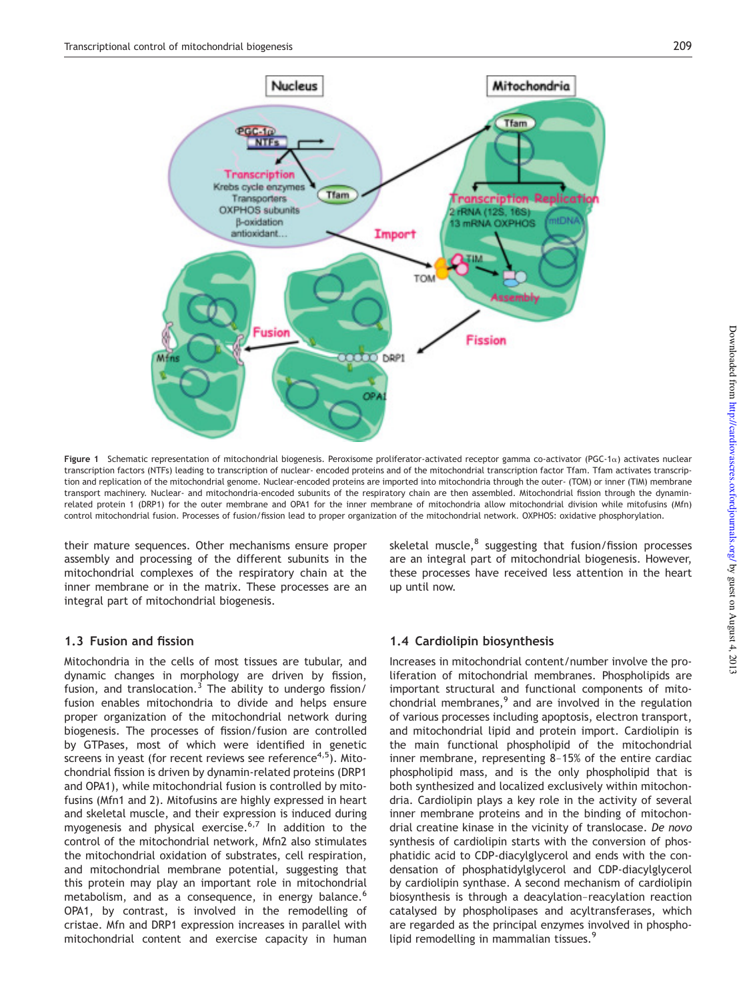

Figure 1 Schematic representation of mitochondrial biogenesis. Peroxisome proliferator-activated receptor gamma co-activator (PGC-1 $\alpha$ ) activates nuclear transcription factors (NTFs) leading to transcription of nuclear- encoded proteins and of the mitochondrial transcription factor Tfam. Tfam activates transcription and replication of the mitochondrial genome. Nuclear-encoded proteins are imported into mitochondria through the outer- (TOM) or inner (TIM) membrane transport machinery. Nuclear- and mitochondria-encoded subunits of the respiratory chain are then assembled. Mitochondrial fission through the dynaminrelated protein 1 (DRP1) for the outer membrane and OPA1 for the inner membrane of mitochondria allow mitochondrial division while mitofusins (Mfn) control mitochondrial fusion. Processes of fusion/fission lead to proper organization of the mitochondrial network. OXPHOS: oxidative phosphorylation.

their mature sequences. Other mechanisms ensure proper assembly and processing of the different subunits in the mitochondrial complexes of the respiratory chain at the inner membrane or in the matrix. These processes are an integral part of mitochondrial biogenesis.

## 1.3 Fusion and fission

Mitochondria in the cells of most tissues are tubular, and dynamic changes in morphology are driven by fission, fusion, and translocation.<sup>3</sup> The ability to undergo fission/ fusion enables mitochondria to divide and helps ensure proper organization of the mitochondrial network during biogenesis. The processes of fission/fusion are controlled by GTPases, most of which were identified in genetic screens in yeast (for recent reviews see reference $4,5$ ). Mitochondrial fission is driven by dynamin-related proteins (DRP1 and OPA1), while mitochondrial fusion is controlled by mitofusins (Mfn1 and 2). Mitofusins are highly expressed in heart and skeletal muscle, and their expression is induced during myogenesis and physical exercise.<sup>6,7</sup> In addition to the control of the mitochondrial network, Mfn2 also stimulates the mitochondrial oxidation of substrates, cell respiration, and mitochondrial membrane potential, suggesting that this protein may play an important role in mitochondrial metabolism, and as a consequence, in energy balance.<sup>6</sup> OPA1, by contrast, is involved in the remodelling of cristae. Mfn and DRP1 expression increases in parallel with mitochondrial content and exercise capacity in human

skeletal muscle,<sup>8</sup> suggesting that fusion/fission processes are an integral part of mitochondrial biogenesis. However, these processes have received less attention in the heart up until now.

## 1.4 Cardiolipin biosynthesis

Increases in mitochondrial content/number involve the proliferation of mitochondrial membranes. Phospholipids are important structural and functional components of mitochondrial membranes, $9$  and are involved in the regulation of various processes including apoptosis, electron transport, and mitochondrial lipid and protein import. Cardiolipin is the main functional phospholipid of the mitochondrial inner membrane, representing 8–15% of the entire cardiac phospholipid mass, and is the only phospholipid that is both synthesized and localized exclusively within mitochondria. Cardiolipin plays a key role in the activity of several inner membrane proteins and in the binding of mitochondrial creatine kinase in the vicinity of translocase. *De novo* synthesis of cardiolipin starts with the conversion of phosphatidic acid to CDP-diacylglycerol and ends with the condensation of phosphatidylglycerol and CDP-diacylglycerol by cardiolipin synthase. A second mechanism of cardiolipin biosynthesis is through a deacylation–reacylation reaction catalysed by phospholipases and acyltransferases, which are regarded as the principal enzymes involved in phospholipid remodelling in mammalian tissues.<sup>9</sup>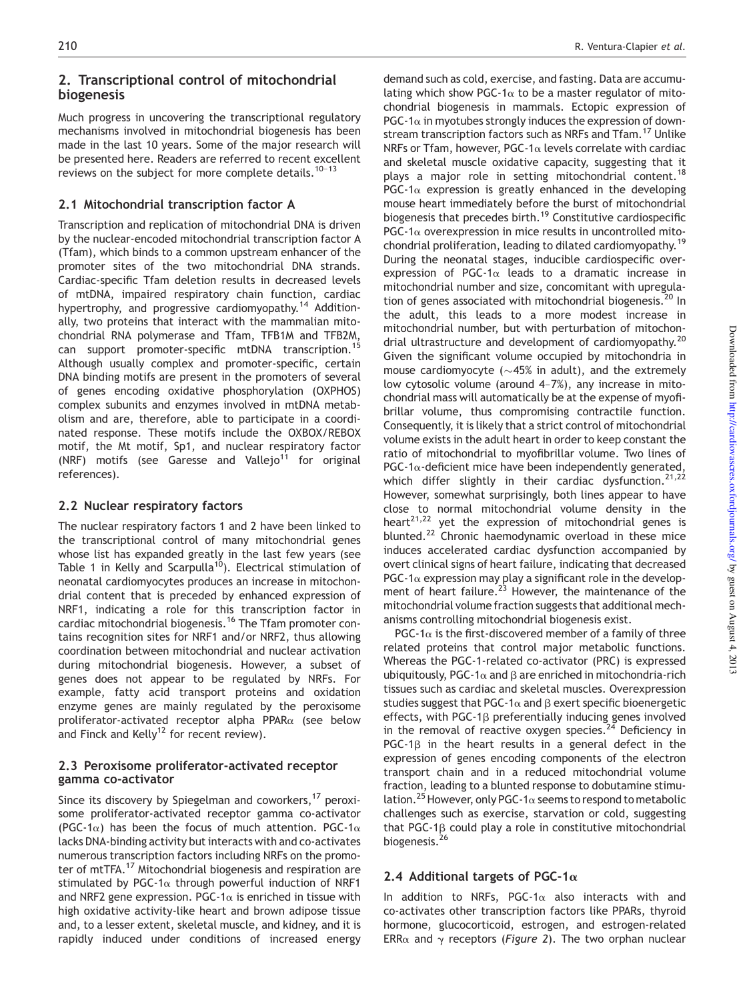# 2. Transcriptional control of mitochondrial biogenesis

Much progress in uncovering the transcriptional regulatory mechanisms involved in mitochondrial biogenesis has been made in the last 10 years. Some of the major research will be presented here. Readers are referred to recent excellent reviews on the subject for more complete details.<sup>10-13</sup>

### 2.1 Mitochondrial transcription factor A

Transcription and replication of mitochondrial DNA is driven by the nuclear-encoded mitochondrial transcription factor A (Tfam), which binds to a common upstream enhancer of the promoter sites of the two mitochondrial DNA strands. Cardiac-specific Tfam deletion results in decreased levels of mtDNA, impaired respiratory chain function, cardiac hypertrophy, and progressive cardiomyopathy.<sup>14</sup> Additionally, two proteins that interact with the mammalian mitochondrial RNA polymerase and Tfam, TFB1M and TFB2M, can support promoter-specific mtDNA transcription.<sup>15</sup> Although usually complex and promoter-specific, certain DNA binding motifs are present in the promoters of several of genes encoding oxidative phosphorylation (OXPHOS) complex subunits and enzymes involved in mtDNA metabolism and are, therefore, able to participate in a coordinated response. These motifs include the OXBOX/REBOX motif, the Mt motif, Sp1, and nuclear respiratory factor (NRF) motifs (see Garesse and Vallejo<sup>11</sup> for original references).

#### 2.2 Nuclear respiratory factors

The nuclear respiratory factors 1 and 2 have been linked to the transcriptional control of many mitochondrial genes whose list has expanded greatly in the last few years (see Table 1 in Kelly and Scarpulla<sup>10</sup>). Electrical stimulation of neonatal cardiomyocytes produces an increase in mitochondrial content that is preceded by enhanced expression of NRF1, indicating a role for this transcription factor in cardiac mitochondrial biogenesis.<sup>16</sup> The Tfam promoter contains recognition sites for NRF1 and/or NRF2, thus allowing coordination between mitochondrial and nuclear activation during mitochondrial biogenesis. However, a subset of genes does not appear to be regulated by NRFs. For example, fatty acid transport proteins and oxidation enzyme genes are mainly regulated by the peroxisome proliferator-activated receptor alpha PPAR $\alpha$  (see below and Finck and Kelly<sup>12</sup> for recent review).

#### 2.3 Peroxisome proliferator-activated receptor gamma co-activator

Since its discovery by Spiegelman and coworkers, $17$  peroxisome proliferator-activated receptor gamma co-activator (PGC-1 $\alpha$ ) has been the focus of much attention. PGC-1 $\alpha$ lacks DNA-binding activity but interacts with and co-activates numerous transcription factors including NRFs on the promoter of mtTFA.<sup>17</sup> Mitochondrial biogenesis and respiration are stimulated by PGC-1 $\alpha$  through powerful induction of NRF1 and NRF2 gene expression. PGC-1 $\alpha$  is enriched in tissue with high oxidative activity-like heart and brown adipose tissue and, to a lesser extent, skeletal muscle, and kidney, and it is rapidly induced under conditions of increased energy

demand such as cold, exercise, and fasting. Data are accumulating which show PGC-1 $\alpha$  to be a master regulator of mitochondrial biogenesis in mammals. Ectopic expression of PGC-1 $\alpha$  in myotubes strongly induces the expression of downstream transcription factors such as NRFs and Tfam.<sup>17</sup> Unlike NRFs or Tfam, however, PGC-1 $\alpha$  levels correlate with cardiac and skeletal muscle oxidative capacity, suggesting that it plays a major role in setting mitochondrial content.<sup>18</sup> PGC-1 $\alpha$  expression is greatly enhanced in the developing mouse heart immediately before the burst of mitochondrial biogenesis that precedes birth.<sup>19</sup> Constitutive cardiospecific  $PGC-1\alpha$  overexpression in mice results in uncontrolled mitochondrial proliferation, leading to dilated cardiomyopathy.<sup>19</sup> During the neonatal stages, inducible cardiospecific overexpression of PGC-1 $\alpha$  leads to a dramatic increase in mitochondrial number and size, concomitant with upregulation of genes associated with mitochondrial biogenesis.<sup>20</sup> In the adult, this leads to a more modest increase in mitochondrial number, but with perturbation of mitochondrial ultrastructure and development of cardiomyopathy.<sup>20</sup> Given the significant volume occupied by mitochondria in mouse cardiomyocyte ( $\sim$ 45% in adult), and the extremely low cytosolic volume (around 4–7%), any increase in mitochondrial mass will automatically be at the expense of myofibrillar volume, thus compromising contractile function. Consequently, it is likely that a strict control of mitochondrial volume exists in the adult heart in order to keep constant the ratio of mitochondrial to myofibrillar volume. Two lines of PGC-1 $\alpha$ -deficient mice have been independently generated, which differ slightly in their cardiac dysfunction.<sup>21,22</sup> However, somewhat surprisingly, both lines appear to have close to normal mitochondrial volume density in the  $heart<sup>21,22</sup>$  yet the expression of mitochondrial genes is blunted.<sup>22</sup> Chronic haemodynamic overload in these mice induces accelerated cardiac dysfunction accompanied by overt clinical signs of heart failure, indicating that decreased PGC-1 $\alpha$  expression may play a significant role in the development of heart failure.<sup>23</sup> However, the maintenance of the mitochondrial volume fraction suggests that additional mechanisms controlling mitochondrial biogenesis exist.

PGC-1 $\alpha$  is the first-discovered member of a family of three related proteins that control major metabolic functions. Whereas the PGC-1-related co-activator (PRC) is expressed ubiquitously, PGC-1 $\alpha$  and  $\beta$  are enriched in mitochondria-rich tissues such as cardiac and skeletal muscles. Overexpression studies suggest that PGC-1 $\alpha$  and  $\beta$  exert specific bioenergetic effects, with PGC-1<sub>B</sub> preferentially inducing genes involved in the removal of reactive oxygen species. $24$  Deficiency in PGC-1 $\beta$  in the heart results in a general defect in the expression of genes encoding components of the electron transport chain and in a reduced mitochondrial volume fraction, leading to a blunted response to dobutamine stimulation.<sup>25</sup> However, only PGC-1 $\alpha$  seems to respond to metabolic challenges such as exercise, starvation or cold, suggesting that PGC-1 $\beta$  could play a role in constitutive mitochondrial biogenesis.<sup>26</sup>

## 2.4 Additional targets of PGC-1 $\alpha$

In addition to NRFs, PGC-1 $\alpha$  also interacts with and co-activates other transcription factors like PPARs, thyroid hormone, glucocorticoid, estrogen, and estrogen-related ERR $\alpha$  and  $\gamma$  receptors (*Figure 2*). The two orphan nuclear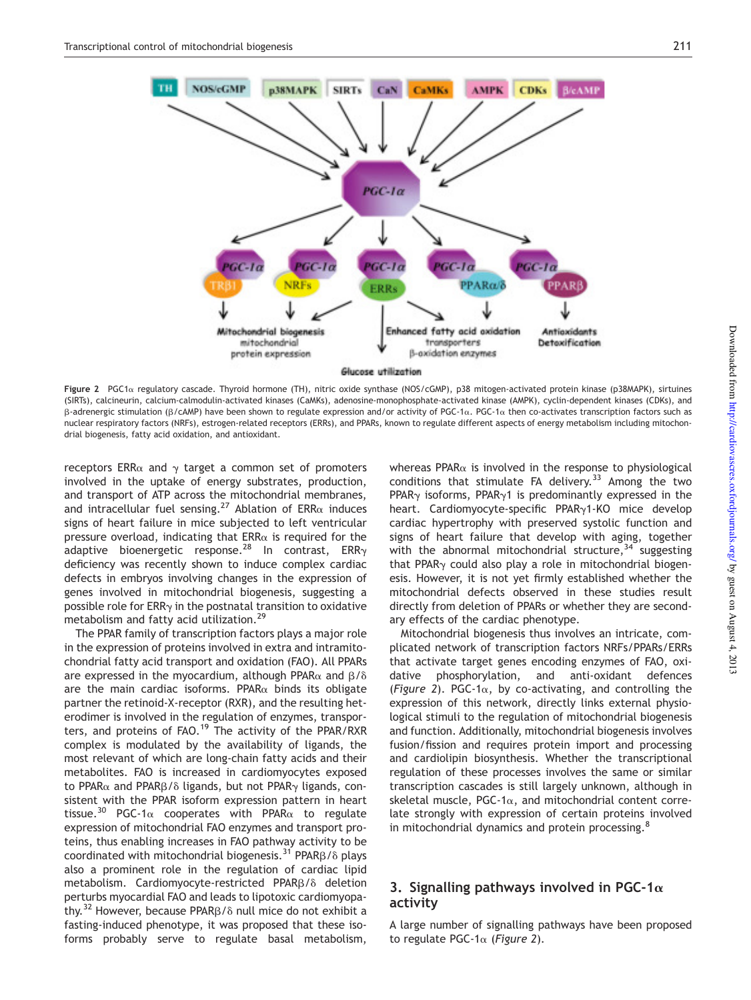

Figure 2 PGC1 $\alpha$  regulatory cascade. Thyroid hormone (TH), nitric oxide synthase (NOS/cGMP), p38 mitogen-activated protein kinase (p38MAPK), sirtuines (SIRTs), calcineurin, calcium-calmodulin-activated kinases (CaMKs), adenosine-monophosphate-activated kinase (AMPK), cyclin-dependent kinases (CDKs), and  $\beta$ -adrenergic stimulation ( $\beta$ /cAMP) have been shown to regulate expression and/or activity of PGC-1 $\alpha$ . PGC-1 $\alpha$  then co-activates transcription factors such as nuclear respiratory factors (NRFs), estrogen-related receptors (ERRs), and PPARs, known to regulate different aspects of energy metabolism including mitochondrial biogenesis, fatty acid oxidation, and antioxidant.

receptors ERR $\alpha$  and  $\gamma$  target a common set of promoters involved in the uptake of energy substrates, production, and transport of ATP across the mitochondrial membranes, and intracellular fuel sensing.<sup>27</sup> Ablation of ERR $\alpha$  induces signs of heart failure in mice subjected to left ventricular pressure overload, indicating that  $ERR\alpha$  is required for the adaptive bioenergetic response.<sup>28</sup> In contrast, ERR<sub>y</sub> deficiency was recently shown to induce complex cardiac defects in embryos involving changes in the expression of genes involved in mitochondrial biogenesis, suggesting a possible role for  $ERR<sub>Y</sub>$  in the postnatal transition to oxidative metabolism and fatty acid utilization.<sup>29</sup>

The PPAR family of transcription factors plays a major role in the expression of proteins involved in extra and intramitochondrial fatty acid transport and oxidation (FAO). All PPARs are expressed in the myocardium, although PPAR $\alpha$  and  $\beta/\delta$ are the main cardiac isoforms. PPAR $\alpha$  binds its obligate partner the retinoid-X-receptor (RXR), and the resulting heterodimer is involved in the regulation of enzymes, transporters, and proteins of FAO.<sup>19</sup> The activity of the PPAR/RXR complex is modulated by the availability of ligands, the most relevant of which are long-chain fatty acids and their metabolites. FAO is increased in cardiomyocytes exposed to PPAR $\alpha$  and PPAR $\beta$ / $\delta$  ligands, but not PPAR $\gamma$  ligands, consistent with the PPAR isoform expression pattern in heart tissue.<sup>30</sup> PGC-1 $\alpha$  cooperates with PPAR $\alpha$  to regulate expression of mitochondrial FAO enzymes and transport proteins, thus enabling increases in FAO pathway activity to be coordinated with mitochondrial biogenesis.<sup>31</sup> PPAR $\beta$ / $\delta$  plays also a prominent role in the regulation of cardiac lipid metabolism. Cardiomyocyte-restricted PPAR $\beta/\delta$  deletion perturbs myocardial FAO and leads to lipotoxic cardiomyopathy.<sup>32</sup> However, because PPAR $\beta$ / $\delta$  null mice do not exhibit a fasting-induced phenotype, it was proposed that these isoforms probably serve to regulate basal metabolism,

whereas PPAR $\alpha$  is involved in the response to physiological conditions that stimulate FA delivery. $33$  Among the two PPAR $\gamma$  isoforms, PPAR $\gamma$ 1 is predominantly expressed in the heart. Cardiomyocyte-specific PPAR<sub>y</sub>1-KO mice develop cardiac hypertrophy with preserved systolic function and signs of heart failure that develop with aging, together with the abnormal mitochondrial structure,  $34$  suggesting that PPAR $\gamma$  could also play a role in mitochondrial biogenesis. However, it is not yet firmly established whether the mitochondrial defects observed in these studies result directly from deletion of PPARs or whether they are secondary effects of the cardiac phenotype.

Mitochondrial biogenesis thus involves an intricate, complicated network of transcription factors NRFs/PPARs/ERRs that activate target genes encoding enzymes of FAO, oxidative phosphorylation, and anti-oxidant defences (*Figure* 2). PGC-1 $\alpha$ , by co-activating, and controlling the expression of this network, directly links external physiological stimuli to the regulation of mitochondrial biogenesis and function. Additionally, mitochondrial biogenesis involves fusion/fission and requires protein import and processing and cardiolipin biosynthesis. Whether the transcriptional regulation of these processes involves the same or similar transcription cascades is still largely unknown, although in skeletal muscle, PGC-1 $\alpha$ , and mitochondrial content correlate strongly with expression of certain proteins involved in mitochondrial dynamics and protein processing.<sup>8</sup>

# 3. Signalling pathways involved in PGC-1 $\alpha$ activity

A large number of signalling pathways have been proposed to regulate PGC-1a (*Figure 2*).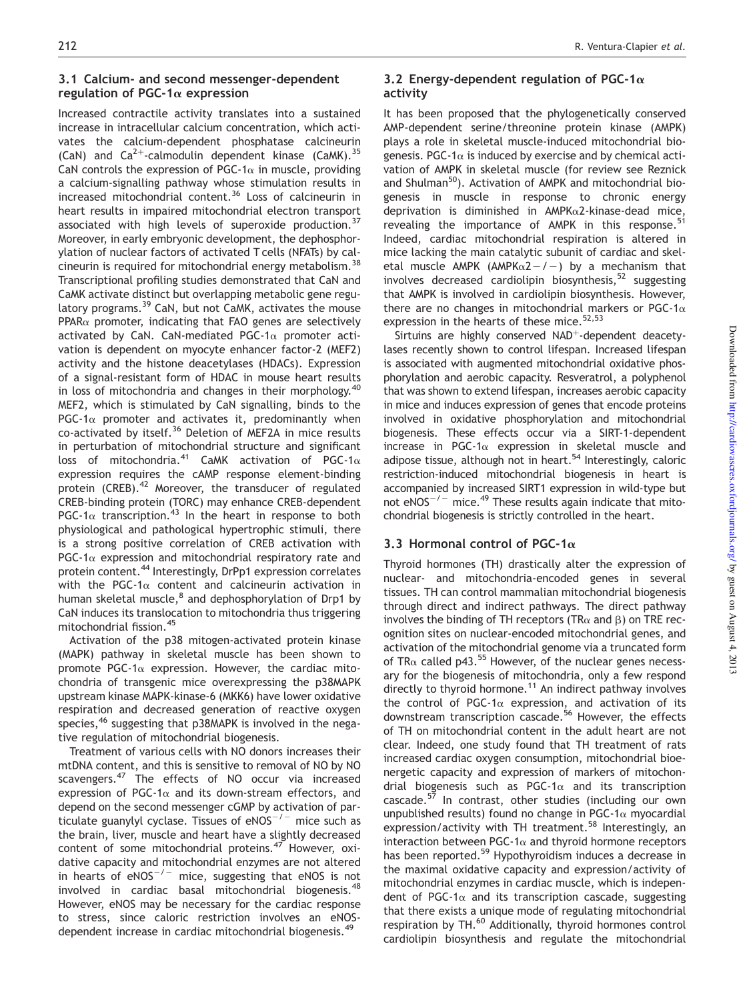## 3.1 Calcium- and second messenger-dependent regulation of PGC-1 $\alpha$  expression

Increased contractile activity translates into a sustained increase in intracellular calcium concentration, which activates the calcium-dependent phosphatase calcineurin (CaN) and  $Ca^{2+}$ -calmodulin dependent kinase (CaMK).<sup>35</sup> CaN controls the expression of PGC-1 $\alpha$  in muscle, providing a calcium-signalling pathway whose stimulation results in increased mitochondrial content.<sup>36</sup> Loss of calcineurin in heart results in impaired mitochondrial electron transport associated with high levels of superoxide production.<sup>37</sup> Moreover, in early embryonic development, the dephosphorylation of nuclear factors of activated T cells (NFATs) by calcineurin is required for mitochondrial energy metabolism.<sup>38</sup> Transcriptional profiling studies demonstrated that CaN and CaMK activate distinct but overlapping metabolic gene regulatory programs.<sup>39</sup> CaN, but not CaMK, activates the mouse  $PPAR\alpha$  promoter, indicating that FAO genes are selectively activated by CaN. CaN-mediated PGC-1 $\alpha$  promoter activation is dependent on myocyte enhancer factor-2 (MEF2) activity and the histone deacetylases (HDACs). Expression of a signal-resistant form of HDAC in mouse heart results in loss of mitochondria and changes in their morphology.<sup>40</sup> MEF2, which is stimulated by CaN signalling, binds to the PGC-1 $\alpha$  promoter and activates it, predominantly when co-activated by itself.<sup>36</sup> Deletion of MEF2A in mice results in perturbation of mitochondrial structure and significant loss of mitochondria.<sup>41</sup> CaMK activation of PGC-1 $\alpha$ expression requires the cAMP response element-binding protein (CREB).<sup>42</sup> Moreover, the transducer of regulated CREB-binding protein (TORC) may enhance CREB-dependent PGC-1 $\alpha$  transcription.<sup>43</sup> In the heart in response to both physiological and pathological hypertrophic stimuli, there is a strong positive correlation of CREB activation with PGC-1 $\alpha$  expression and mitochondrial respiratory rate and protein content.<sup>44</sup> Interestingly, DrPp1 expression correlates with the PGC-1 $\alpha$  content and calcineurin activation in human skeletal muscle,<sup>8</sup> and dephosphorylation of Drp1 by CaN induces its translocation to mitochondria thus triggering mitochondrial fission.<sup>45</sup>

Activation of the p38 mitogen-activated protein kinase (MAPK) pathway in skeletal muscle has been shown to promote PGC-1 $\alpha$  expression. However, the cardiac mitochondria of transgenic mice overexpressing the p38MAPK upstream kinase MAPK-kinase-6 (MKK6) have lower oxidative respiration and decreased generation of reactive oxygen species,<sup>46</sup> suggesting that p38MAPK is involved in the negative regulation of mitochondrial biogenesis.

Treatment of various cells with NO donors increases their mtDNA content, and this is sensitive to removal of NO by NO scavengers.<sup>47</sup> The effects of NO occur via increased expression of PGC-1 $\alpha$  and its down-stream effectors, and depend on the second messenger cGMP by activation of particulate guanylyl cyclase. Tissues of  $eNOS^{-/-}$  mice such as the brain, liver, muscle and heart have a slightly decreased content of some mitochondrial proteins.<sup>47</sup> However, oxidative capacity and mitochondrial enzymes are not altered in hearts of  $eNOS^{-/-}$  mice, suggesting that eNOS is not involved in cardiac basal mitochondrial biogenesis.<sup>48</sup> However, eNOS may be necessary for the cardiac response to stress, since caloric restriction involves an eNOSdependent increase in cardiac mitochondrial biogenesis.<sup>49</sup>

# 3.2 Energy-dependent regulation of PGC-1 $\alpha$ activity

It has been proposed that the phylogenetically conserved AMP-dependent serine/threonine protein kinase (AMPK) plays a role in skeletal muscle-induced mitochondrial biogenesis. PGC-1 $\alpha$  is induced by exercise and by chemical activation of AMPK in skeletal muscle (for review see Reznick and Shulman<sup>50</sup>). Activation of AMPK and mitochondrial biogenesis in muscle in response to chronic energy deprivation is diminished in AMPKα2-kinase-dead mice, revealing the importance of AMPK in this response.<sup>51</sup> Indeed, cardiac mitochondrial respiration is altered in mice lacking the main catalytic subunit of cardiac and skeletal muscle AMPK (AMPK $\alpha$ 2-/-) by a mechanism that involves decreased cardiolipin biosynthesis, $52$  suggesting that AMPK is involved in cardiolipin biosynthesis. However, there are no changes in mitochondrial markers or PGC-1 $\alpha$ expression in the hearts of these mice.<sup>52,53</sup>

Sirtuins are highly conserved NAD<sup>+</sup>-dependent deacetylases recently shown to control lifespan. Increased lifespan is associated with augmented mitochondrial oxidative phosphorylation and aerobic capacity. Resveratrol, a polyphenol that was shown to extend lifespan, increases aerobic capacity in mice and induces expression of genes that encode proteins involved in oxidative phosphorylation and mitochondrial biogenesis. These effects occur via a SIRT-1-dependent increase in PGC-1 $\alpha$  expression in skeletal muscle and adipose tissue, although not in heart.<sup>54</sup> Interestingly, caloric restriction-induced mitochondrial biogenesis in heart is accompanied by increased SIRT1 expression in wild-type but not  $eNOS^{-/-}$  mice.<sup>49</sup> These results again indicate that mitochondrial biogenesis is strictly controlled in the heart.

# 3.3 Hormonal control of PGC-1 $\alpha$

Thyroid hormones (TH) drastically alter the expression of nuclear- and mitochondria-encoded genes in several tissues. TH can control mammalian mitochondrial biogenesis through direct and indirect pathways. The direct pathway involves the binding of TH receptors (TR $\alpha$  and B) on TRE recognition sites on nuclear-encoded mitochondrial genes, and activation of the mitochondrial genome via a truncated form of TR $\alpha$  called p43.<sup>55</sup> However, of the nuclear genes necessary for the biogenesis of mitochondria, only a few respond directly to thyroid hormone.<sup>11</sup> An indirect pathway involves the control of PGC-1 $\alpha$  expression, and activation of its downstream transcription cascade.<sup>56</sup> However, the effects of TH on mitochondrial content in the adult heart are not clear. Indeed, one study found that TH treatment of rats increased cardiac oxygen consumption, mitochondrial bioenergetic capacity and expression of markers of mitochondrial biogenesis such as PGC-1 $\alpha$  and its transcription cascade.<sup>57</sup> In contrast, other studies (including our own unpublished results) found no change in PGC-1 $\alpha$  myocardial expression/activity with TH treatment.<sup>58</sup> Interestingly, an interaction between PGC-1 $\alpha$  and thyroid hormone receptors has been reported.<sup>59</sup> Hypothyroidism induces a decrease in the maximal oxidative capacity and expression/activity of mitochondrial enzymes in cardiac muscle, which is independent of PGC-1 $\alpha$  and its transcription cascade, suggesting that there exists a unique mode of regulating mitochondrial respiration by TH.<sup>60</sup> Additionally, thyroid hormones control cardiolipin biosynthesis and regulate the mitochondrial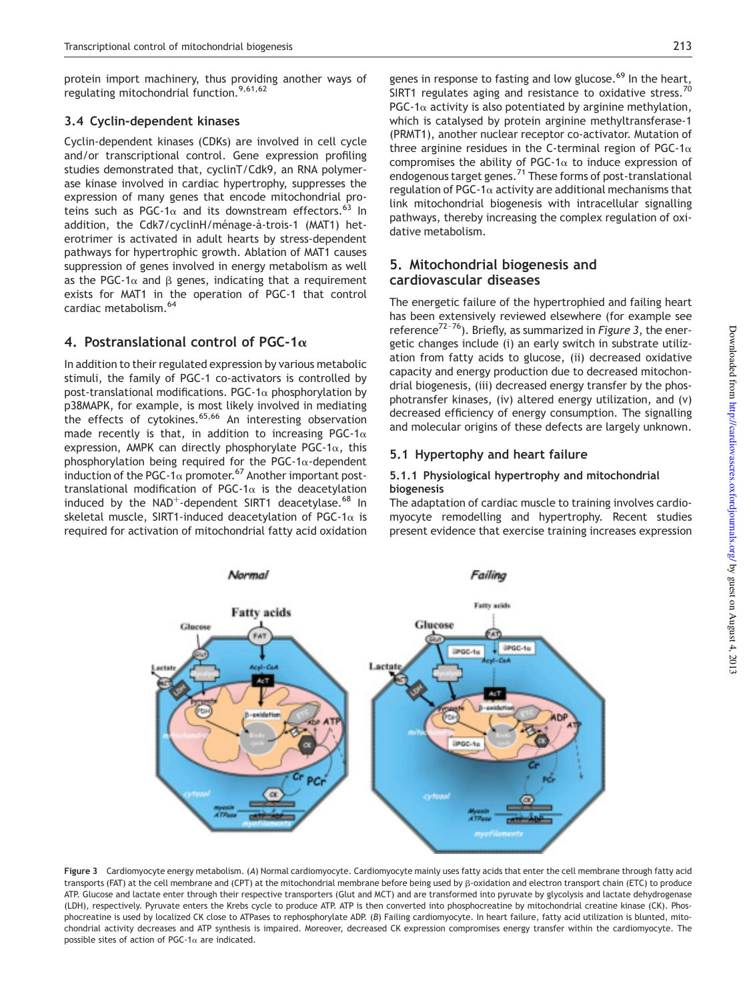protein import machinery, thus providing another ways of regulating mitochondrial function.<sup>9,61,62</sup>

# 3.4 Cyclin-dependent kinases

Cyclin-dependent kinases (CDKs) are involved in cell cycle and/or transcriptional control. Gene expression profiling studies demonstrated that, cyclinT/Cdk9, an RNA polymerase kinase involved in cardiac hypertrophy, suppresses the expression of many genes that encode mitochondrial proteins such as PGC-1 $\alpha$  and its downstream effectors.<sup>63</sup> In addition, the Cdk7/cyclinH/ménage-à-trois-1 (MAT1) heterotrimer is activated in adult hearts by stress-dependent pathways for hypertrophic growth. Ablation of MAT1 causes suppression of genes involved in energy metabolism as well as the PGC-1 $\alpha$  and  $\beta$  genes, indicating that a requirement exists for MAT1 in the operation of PGC-1 that control cardiac metabolism.<sup>64</sup>

# 4. Postranslational control of PGC-1 $\alpha$

In addition to their regulated expression by various metabolic stimuli, the family of PGC-1 co-activators is controlled by post-translational modifications. PGC-1 $\alpha$  phosphorylation by p38MAPK, for example, is most likely involved in mediating the effects of cytokines.<sup>65,66</sup> An interesting observation made recently is that, in addition to increasing PGC-1 $\alpha$ expression, AMPK can directly phosphorylate PGC-1 $\alpha$ , this phosphorylation being required for the PGC-1 $\alpha$ -dependent induction of the PGC-1 $\alpha$  promoter.<sup>67</sup> Another important posttranslational modification of PGC-1 $\alpha$  is the deacetylation induced by the NAD<sup>+</sup>-dependent SIRT1 deacetylase.<sup>68</sup> In skeletal muscle, SIRT1-induced deacetylation of PGC-1 $\alpha$  is required for activation of mitochondrial fatty acid oxidation

genes in response to fasting and low glucose.<sup>69</sup> In the heart, SIRT1 regulates aging and resistance to oxidative stress.<sup>7</sup> PGC-1 $\alpha$  activity is also potentiated by arginine methylation, which is catalysed by protein arginine methyltransferase-1 (PRMT1), another nuclear receptor co-activator. Mutation of three arginine residues in the C-terminal region of PGC-1 $\alpha$ compromises the ability of PGC-1 $\alpha$  to induce expression of endogenous target genes.<sup>71</sup> These forms of post-translational regulation of PGC-1 $\alpha$  activity are additional mechanisms that link mitochondrial biogenesis with intracellular signalling pathways, thereby increasing the complex regulation of oxidative metabolism.

# 5. Mitochondrial biogenesis and cardiovascular diseases

The energetic failure of the hypertrophied and failing heart has been extensively reviewed elsewhere (for example see reference<sup>72-76</sup>). Briefly, as summarized in *Figure 3*, the energetic changes include (i) an early switch in substrate utilization from fatty acids to glucose, (ii) decreased oxidative capacity and energy production due to decreased mitochondrial biogenesis, (iii) decreased energy transfer by the phosphotransfer kinases, (iv) altered energy utilization, and (v) decreased efficiency of energy consumption. The signalling and molecular origins of these defects are largely unknown.

# 5.1 Hypertophy and heart failure

#### 5.1.1 Physiological hypertrophy and mitochondrial biogenesis

The adaptation of cardiac muscle to training involves cardiomyocyte remodelling and hypertrophy. Recent studies present evidence that exercise training increases expression



Figure 3 Cardiomyocyte energy metabolism. (*A*) Normal cardiomyocyte. Cardiomyocyte mainly uses fatty acids that enter the cell membrane through fatty acid transports (FAT) at the cell membrane and (CPT) at the mitochondrial membrane before being used by  $\beta$ -oxidation and electron transport chain (ETC) to produce ATP. Glucose and lactate enter through their respective transporters (Glut and MCT) and are transformed into pyruvate by glycolysis and lactate dehydrogenase (LDH), respectively. Pyruvate enters the Krebs cycle to produce ATP. ATP is then converted into phosphocreatine by mitochondrial creatine kinase (CK). Phosphocreatine is used by localized CK close to ATPases to rephosphorylate ADP. (*B*) Failing cardiomyocyte. In heart failure, fatty acid utilization is blunted, mitochondrial activity decreases and ATP synthesis is impaired. Moreover, decreased CK expression compromises energy transfer within the cardiomyocyte. The possible sites of action of PGC-1 $\alpha$  are indicated.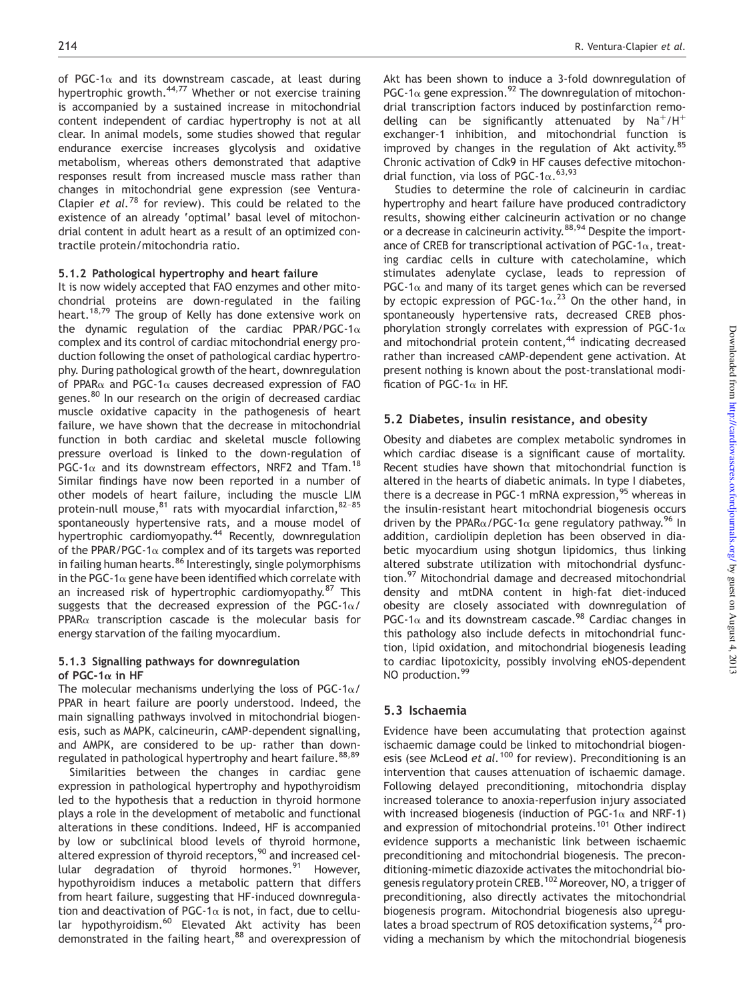of PGC-1 $\alpha$  and its downstream cascade, at least during hypertrophic growth.<sup>44,77</sup> Whether or not exercise training is accompanied by a sustained increase in mitochondrial content independent of cardiac hypertrophy is not at all clear. In animal models, some studies showed that regular endurance exercise increases glycolysis and oxidative metabolism, whereas others demonstrated that adaptive responses result from increased muscle mass rather than changes in mitochondrial gene expression (see Ventura-Clapier *et al.*<sup>78</sup> for review). This could be related to the existence of an already 'optimal' basal level of mitochondrial content in adult heart as a result of an optimized contractile protein/mitochondria ratio.

#### 5.1.2 Pathological hypertrophy and heart failure

It is now widely accepted that FAO enzymes and other mitochondrial proteins are down-regulated in the failing heart.<sup>18,79</sup> The group of Kelly has done extensive work on the dynamic regulation of the cardiac PPAR/PGC-1 $\alpha$ complex and its control of cardiac mitochondrial energy production following the onset of pathological cardiac hypertrophy. During pathological growth of the heart, downregulation of PPAR $\alpha$  and PGC-1 $\alpha$  causes decreased expression of FAO genes.<sup>80</sup> In our research on the origin of decreased cardiac muscle oxidative capacity in the pathogenesis of heart failure, we have shown that the decrease in mitochondrial function in both cardiac and skeletal muscle following pressure overload is linked to the down-regulation of PGC-1 $\alpha$  and its downstream effectors, NRF2 and Tfam.<sup>18</sup> Similar findings have now been reported in a number of other models of heart failure, including the muscle LIM protein-null mouse, $81$  rats with myocardial infarction,  $82-85$ spontaneously hypertensive rats, and a mouse model of hypertrophic cardiomyopathy.<sup>44</sup> Recently, downregulation of the PPAR/PGC-1 $\alpha$  complex and of its targets was reported in failing human hearts.<sup>86</sup> Interestingly, single polymorphisms in the PGC-1 $\alpha$  gene have been identified which correlate with an increased risk of hypertrophic cardiomyopathy.<sup>87</sup> This suggests that the decreased expression of the PGC-1 $\alpha$ /  $PPAR\alpha$  transcription cascade is the molecular basis for energy starvation of the failing myocardium.

#### 5.1.3 Signalling pathways for downregulation of PGC-1 $\alpha$  in HF

The molecular mechanisms underlying the loss of PGC-1 $\alpha$ / PPAR in heart failure are poorly understood. Indeed, the main signalling pathways involved in mitochondrial biogenesis, such as MAPK, calcineurin, cAMP-dependent signalling, and AMPK, are considered to be up- rather than downregulated in pathological hypertrophy and heart failure.  $88,89$ 

Similarities between the changes in cardiac gene expression in pathological hypertrophy and hypothyroidism led to the hypothesis that a reduction in thyroid hormone plays a role in the development of metabolic and functional alterations in these conditions. Indeed, HF is accompanied by low or subclinical blood levels of thyroid hormone, altered expression of thyroid receptors,<sup>90</sup> and increased cellular degradation of thyroid hormones.<sup>91</sup> However, hypothyroidism induces a metabolic pattern that differs from heart failure, suggesting that HF-induced downregulation and deactivation of PGC-1 $\alpha$  is not, in fact, due to cellular hypothyroidism.<sup>60</sup> Elevated Akt activity has been demonstrated in the failing heart,<sup>88</sup> and overexpression of

Akt has been shown to induce a 3-fold downregulation of PGC-1 $\alpha$  gene expression.<sup>92</sup> The downregulation of mitochondrial transcription factors induced by postinfarction remodelling can be significantly attenuated by  $Na^{+}/H^{+}$ exchanger-1 inhibition, and mitochondrial function is improved by changes in the regulation of Akt activity.<sup>85</sup> Chronic activation of Cdk9 in HF causes defective mitochondrial function, via loss of PGC-1 $\alpha$ .<sup>63,93</sup>

Studies to determine the role of calcineurin in cardiac hypertrophy and heart failure have produced contradictory results, showing either calcineurin activation or no change or a decrease in calcineurin activity.<sup>88,94</sup> Despite the importance of CREB for transcriptional activation of PGC-1 $\alpha$ , treating cardiac cells in culture with catecholamine, which stimulates adenylate cyclase, leads to repression of PGC-1 $\alpha$  and many of its target genes which can be reversed by ectopic expression of PGC-1 $\alpha$ .<sup>23</sup> On the other hand, in spontaneously hypertensive rats, decreased CREB phosphorylation strongly correlates with expression of PGC-1 $\alpha$ and mitochondrial protein content,<sup>44</sup> indicating decreased rather than increased cAMP-dependent gene activation. At present nothing is known about the post-translational modification of PGC-1 $\alpha$  in HF.

#### 5.2 Diabetes, insulin resistance, and obesity

Obesity and diabetes are complex metabolic syndromes in which cardiac disease is a significant cause of mortality. Recent studies have shown that mitochondrial function is altered in the hearts of diabetic animals. In type I diabetes, there is a decrease in PGC-1 mRNA expression,  $95$  whereas in the insulin-resistant heart mitochondrial biogenesis occurs driven by the PPAR $\alpha$ /PGC-1 $\alpha$  gene regulatory pathway.<sup>96</sup> In addition, cardiolipin depletion has been observed in diabetic myocardium using shotgun lipidomics, thus linking altered substrate utilization with mitochondrial dysfunction.<sup>97</sup> Mitochondrial damage and decreased mitochondrial density and mtDNA content in high-fat diet-induced obesity are closely associated with downregulation of PGC-1 $\alpha$  and its downstream cascade.<sup>98</sup> Cardiac changes in this pathology also include defects in mitochondrial function, lipid oxidation, and mitochondrial biogenesis leading to cardiac lipotoxicity, possibly involving eNOS-dependent NO production.<sup>99</sup>

## 5.3 Ischaemia

Evidence have been accumulating that protection against ischaemic damage could be linked to mitochondrial biogenesis (see McLeod *et al.*<sup>100</sup> for review). Preconditioning is an intervention that causes attenuation of ischaemic damage. Following delayed preconditioning, mitochondria display increased tolerance to anoxia-reperfusion injury associated with increased biogenesis (induction of PGC-1 $\alpha$  and NRF-1) and expression of mitochondrial proteins.<sup>101</sup> Other indirect evidence supports a mechanistic link between ischaemic preconditioning and mitochondrial biogenesis. The preconditioning-mimetic diazoxide activates the mitochondrial biogenesis regulatory protein CREB.<sup>102</sup> Moreover, NO, a trigger of preconditioning, also directly activates the mitochondrial biogenesis program. Mitochondrial biogenesis also upregulates a broad spectrum of ROS detoxification systems,  $24$  providing a mechanism by which the mitochondrial biogenesis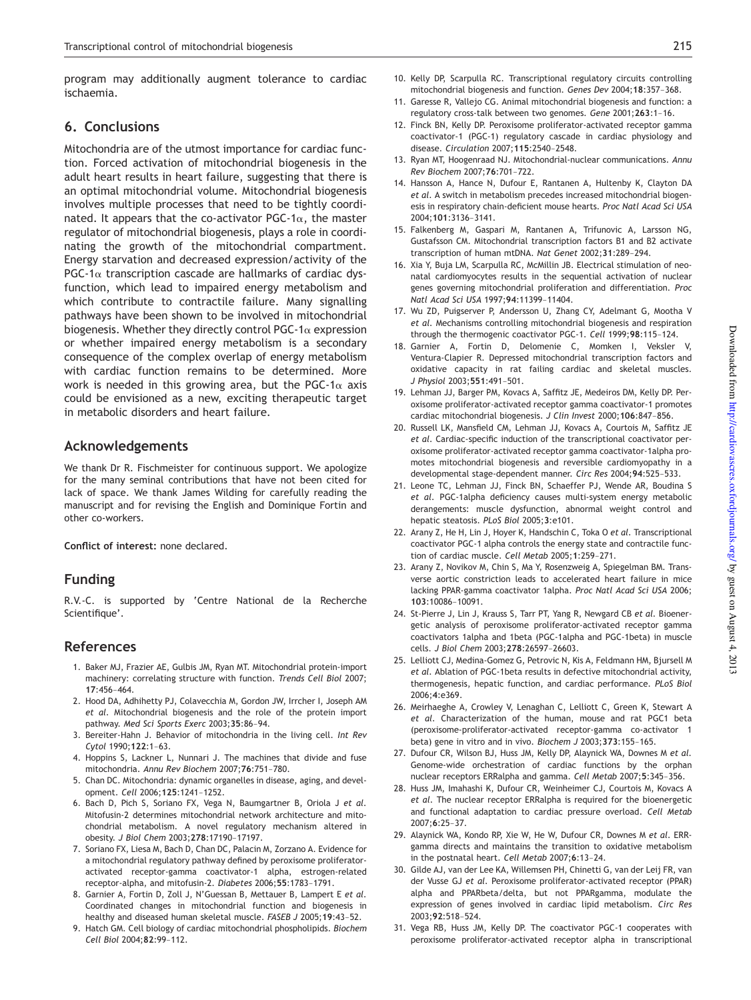program may additionally augment tolerance to cardiac ischaemia.

### 6. Conclusions

Mitochondria are of the utmost importance for cardiac function. Forced activation of mitochondrial biogenesis in the adult heart results in heart failure, suggesting that there is an optimal mitochondrial volume. Mitochondrial biogenesis involves multiple processes that need to be tightly coordinated. It appears that the co-activator PGC-1 $\alpha$ , the master regulator of mitochondrial biogenesis, plays a role in coordinating the growth of the mitochondrial compartment. Energy starvation and decreased expression/activity of the  $PGC-1\alpha$  transcription cascade are hallmarks of cardiac dysfunction, which lead to impaired energy metabolism and which contribute to contractile failure. Many signalling pathways have been shown to be involved in mitochondrial biogenesis. Whether they directly control PGC-1 $\alpha$  expression or whether impaired energy metabolism is a secondary consequence of the complex overlap of energy metabolism with cardiac function remains to be determined. More work is needed in this growing area, but the PGC-1 $\alpha$  axis could be envisioned as a new, exciting therapeutic target in metabolic disorders and heart failure.

# Acknowledgements

We thank Dr R. Fischmeister for continuous support. We apologize for the many seminal contributions that have not been cited for lack of space. We thank James Wilding for carefully reading the manuscript and for revising the English and Dominique Fortin and other co-workers.

Conflict of interest: none declared.

# Funding

R.V.-C. is supported by 'Centre National de la Recherche Scientifique'.

## **References**

- 1. Baker MJ, Frazier AE, Gulbis JM, Ryan MT. Mitochondrial protein-import machinery: correlating structure with function. *Trends Cell Biol* 2007; <sup>17</sup>:456–464.
- 2. Hood DA, Adhihetty PJ, Colavecchia M, Gordon JW, Irrcher I, Joseph AM *et al.* Mitochondrial biogenesis and the role of the protein import pathway. *Med Sci Sports Exerc* 2003;35:86–94.
- 3. Bereiter-Hahn J. Behavior of mitochondria in the living cell. *Int Rev Cytol* 1990;122:1–63.
- 4. Hoppins S, Lackner L, Nunnari J. The machines that divide and fuse mitochondria. *Annu Rev Biochem* 2007;76:751–780.
- 5. Chan DC. Mitochondria: dynamic organelles in disease, aging, and development. *Cell* 2006;125:1241–1252.
- 6. Bach D, Pich S, Soriano FX, Vega N, Baumgartner B, Oriola J *et al.* Mitofusin-2 determines mitochondrial network architecture and mitochondrial metabolism. A novel regulatory mechanism altered in obesity. *J Biol Chem* 2003;278:17190–17197.
- 7. Soriano FX, Liesa M, Bach D, Chan DC, Palacin M, Zorzano A. Evidence for a mitochondrial regulatory pathway defined by peroxisome proliferatoractivated receptor-gamma coactivator-1 alpha, estrogen-related receptor-alpha, and mitofusin-2. *Diabetes* 2006;55:1783–1791.
- 8. Garnier A, Fortin D, Zoll J, N'Guessan B, Mettauer B, Lampert E *et al.* Coordinated changes in mitochondrial function and biogenesis in healthy and diseased human skeletal muscle. *FASEB J* 2005;19:43–52.
- 9. Hatch GM. Cell biology of cardiac mitochondrial phospholipids. *Biochem Cell Biol* 2004;82:99–112.
- 10. Kelly DP, Scarpulla RC. Transcriptional regulatory circuits controlling mitochondrial biogenesis and function. *Genes Dev* 2004;18:357–368.
- 11. Garesse R, Vallejo CG. Animal mitochondrial biogenesis and function: a regulatory cross-talk between two genomes. *Gene* 2001;263:1–16.
- 12. Finck BN, Kelly DP. Peroxisome proliferator-activated receptor gamma coactivator-1 (PGC-1) regulatory cascade in cardiac physiology and disease. *Circulation* 2007;115:2540–2548.
- 13. Ryan MT, Hoogenraad NJ. Mitochondrial-nuclear communications. *Annu Rev Biochem* 2007;76:701–722.
- 14. Hansson A, Hance N, Dufour E, Rantanen A, Hultenby K, Clayton DA *et al.* A switch in metabolism precedes increased mitochondrial biogenesis in respiratory chain-deficient mouse hearts. *Proc Natl Acad Sci USA* 2004;101:3136–3141.
- 15. Falkenberg M, Gaspari M, Rantanen A, Trifunovic A, Larsson NG, Gustafsson CM. Mitochondrial transcription factors B1 and B2 activate transcription of human mtDNA. *Nat Genet* 2002;31:289–294.
- 16. Xia Y, Buja LM, Scarpulla RC, McMillin JB. Electrical stimulation of neonatal cardiomyocytes results in the sequential activation of nuclear genes governing mitochondrial proliferation and differentiation. *Proc Natl Acad Sci USA* 1997;94:11399–11404.
- 17. Wu ZD, Puigserver P, Andersson U, Zhang CY, Adelmant G, Mootha V *et al.* Mechanisms controlling mitochondrial biogenesis and respiration through the thermogenic coactivator PGC-1. *Cell* 1999;98:115–124.
- 18. Garnier A, Fortin D, Delomenie C, Momken I, Veksler V, Ventura-Clapier R. Depressed mitochondrial transcription factors and oxidative capacity in rat failing cardiac and skeletal muscles. *J Physiol* 2003;551:491–501.
- 19. Lehman JJ, Barger PM, Kovacs A, Saffitz JE, Medeiros DM, Kelly DP. Peroxisome proliferator-activated receptor gamma coactivator-1 promotes cardiac mitochondrial biogenesis. *J Clin Invest* 2000;106:847–856.
- 20. Russell LK, Mansfield CM, Lehman JJ, Kovacs A, Courtois M, Saffitz JE *et al.* Cardiac-specific induction of the transcriptional coactivator peroxisome proliferator-activated receptor gamma coactivator-1alpha promotes mitochondrial biogenesis and reversible cardiomyopathy in a developmental stage-dependent manner. *Circ Res* 2004;94:525–533.
- 21. Leone TC, Lehman JJ, Finck BN, Schaeffer PJ, Wende AR, Boudina S *et al.* PGC-1alpha deficiency causes multi-system energy metabolic derangements: muscle dysfunction, abnormal weight control and hepatic steatosis. *PLoS Biol* 2005;3:e101.
- 22. Arany Z, He H, Lin J, Hoyer K, Handschin C, Toka O *et al.* Transcriptional coactivator PGC-1 alpha controls the energy state and contractile function of cardiac muscle. *Cell Metab* 2005;1:259–271.
- 23. Arany Z, Novikov M, Chin S, Ma Y, Rosenzweig A, Spiegelman BM. Transverse aortic constriction leads to accelerated heart failure in mice lacking PPAR-gamma coactivator 1alpha. *Proc Natl Acad Sci USA* 2006; <sup>103</sup>:10086–10091.
- 24. St-Pierre J, Lin J, Krauss S, Tarr PT, Yang R, Newgard CB *et al.* Bioenergetic analysis of peroxisome proliferator-activated receptor gamma coactivators 1alpha and 1beta (PGC-1alpha and PGC-1beta) in muscle cells. *J Biol Chem* 2003;278:26597–26603.
- 25. Lelliott CJ, Medina-Gomez G, Petrovic N, Kis A, Feldmann HM, Bjursell M *et al.* Ablation of PGC-1beta results in defective mitochondrial activity, thermogenesis, hepatic function, and cardiac performance. *PLoS Biol* 2006;4:e369.
- 26. Meirhaeghe A, Crowley V, Lenaghan C, Lelliott C, Green K, Stewart A *et al.* Characterization of the human, mouse and rat PGC1 beta (peroxisome-proliferator-activated receptor-gamma co-activator 1 beta) gene in vitro and in vivo. *Biochem J* 2003;373:155–165.
- 27. Dufour CR, Wilson BJ, Huss JM, Kelly DP, Alaynick WA, Downes M *et al.* Genome-wide orchestration of cardiac functions by the orphan nuclear receptors ERRalpha and gamma. *Cell Metab* 2007;5:345–356.
- 28. Huss JM, Imahashi K, Dufour CR, Weinheimer CJ, Courtois M, Kovacs A *et al.* The nuclear receptor ERRalpha is required for the bioenergetic and functional adaptation to cardiac pressure overload. *Cell Metab* 2007;6:25–37.
- 29. Alaynick WA, Kondo RP, Xie W, He W, Dufour CR, Downes M *et al.* ERRgamma directs and maintains the transition to oxidative metabolism in the postnatal heart. *Cell Metab* 2007;6:13–24.
- 30. Gilde AJ, van der Lee KA, Willemsen PH, Chinetti G, van der Leij FR, van der Vusse GJ *et al.* Peroxisome proliferator-activated receptor (PPAR) alpha and PPARbeta/delta, but not PPARgamma, modulate the expression of genes involved in cardiac lipid metabolism. *Circ Res* 2003;92:518–524.
- 31. Vega RB, Huss JM, Kelly DP. The coactivator PGC-1 cooperates with peroxisome proliferator-activated receptor alpha in transcriptional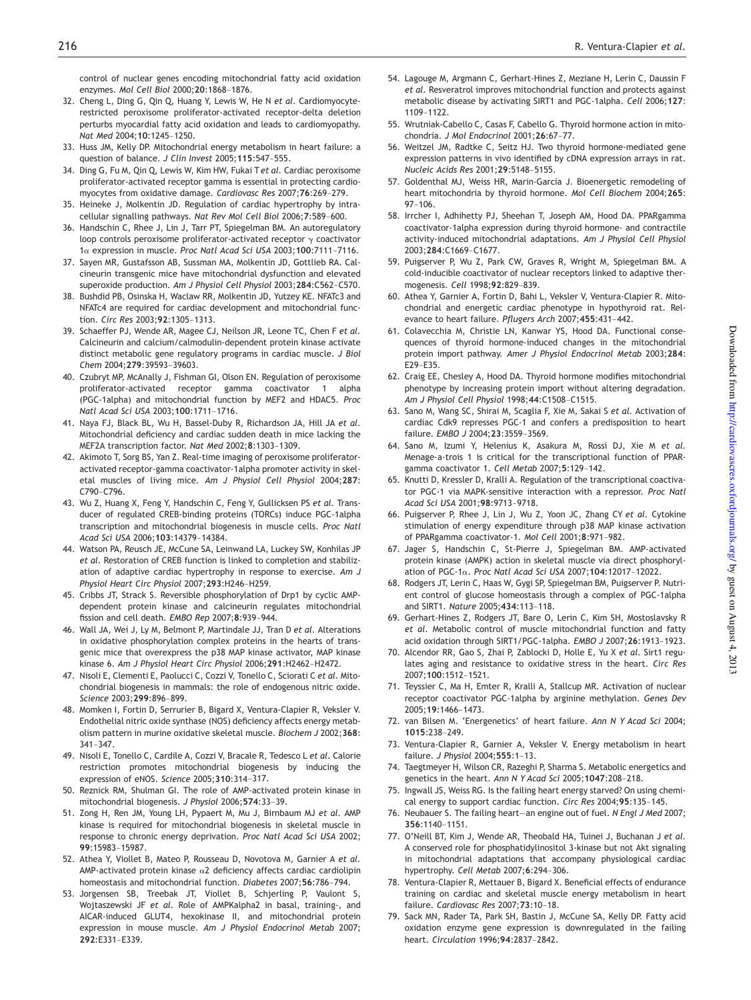control of nuclear genes encoding mitochondrial fatty acid oxidation enzymes. *Mol Cell Biol* 2000;20:1868–1876.

- 32. Cheng L, Ding G, Qin Q, Huang Y, Lewis W, He N *et al.* Cardiomyocyterestricted peroxisome proliferator-activated receptor-delta deletion perturbs myocardial fatty acid oxidation and leads to cardiomyopathy. *Nat Med* 2004;10:1245–1250.
- 33. Huss JM, Kelly DP. Mitochondrial energy metabolism in heart failure: a question of balance. *J Clin Invest* 2005;115:547–555.
- 34. Ding G, Fu M, Qin Q, Lewis W, Kim HW, Fukai T*et al.* Cardiac peroxisome proliferator-activated receptor gamma is essential in protecting cardiomyocytes from oxidative damage. *Cardiovasc Res* 2007;76:269–279.
- 35. Heineke J, Molkentin JD. Regulation of cardiac hypertrophy by intracellular signalling pathways. *Nat Rev Mol Cell Biol* 2006;7:589–600.
- 36. Handschin C, Rhee J, Lin J, Tarr PT, Spiegelman BM. An autoregulatory loop controls peroxisome proliferator-activated receptor  $\gamma$  coactivator <sup>1</sup><sup>a</sup> expression in muscle. *Proc Natl Acad Sci USA* 2003;100:7111–7116.
- 37. Sayen MR, Gustafsson AB, Sussman MA, Molkentin JD, Gottlieb RA. Calcineurin transgenic mice have mitochondrial dysfunction and elevated superoxide production. *Am J Physiol Cell Physiol* 2003;284:C562–C570.
- 38. Bushdid PB, Osinska H, Waclaw RR, Molkentin JD, Yutzey KE. NFATc3 and NFATc4 are required for cardiac development and mitochondrial function. *Circ Res* 2003;92:1305–1313.
- 39. Schaeffer PJ, Wende AR, Magee CJ, Neilson JR, Leone TC, Chen F *et al.* Calcineurin and calcium/calmodulin-dependent protein kinase activate distinct metabolic gene regulatory programs in cardiac muscle. *J Biol Chem* 2004;279:39593–39603.
- 40. Czubryt MP, McAnally J, Fishman GI, Olson EN. Regulation of peroxisome proliferator-activated receptor gamma coactivator 1 alpha (PGC-1alpha) and mitochondrial function by MEF2 and HDAC5. *Proc Natl Acad Sci USA* 2003;100:1711–1716.
- 41. Naya FJ, Black BL, Wu H, Bassel-Duby R, Richardson JA, Hill JA *et al.* Mitochondrial deficiency and cardiac sudden death in mice lacking the MEF2A transcription factor. *Nat Med* 2002;8:1303–1309.
- 42. Akimoto T, Sorg BS, Yan Z. Real-time imaging of peroxisome proliferatoractivated receptor-gamma coactivator-1alpha promoter activity in skeletal muscles of living mice. *Am J Physiol Cell Physiol* 2004;287: C790–C796.
- 43. Wu Z, Huang X, Feng Y, Handschin C, Feng Y, Gullicksen PS *et al.* Transducer of regulated CREB-binding proteins (TORCs) induce PGC-1alpha transcription and mitochondrial biogenesis in muscle cells. *Proc Natl Acad Sci USA* 2006;103:14379–14384.
- 44. Watson PA, Reusch JE, McCune SA, Leinwand LA, Luckey SW, Konhilas JP *et al.* Restoration of CREB function is linked to completion and stabilization of adaptive cardiac hypertrophy in response to exercise. *Am J Physiol Heart Circ Physiol* 2007;293:H246–H259.
- 45. Cribbs JT, Strack S. Reversible phosphorylation of Drp1 by cyclic AMPdependent protein kinase and calcineurin regulates mitochondrial fission and cell death. *EMBO Rep* 2007;8:939–944.
- 46. Wall JA, Wei J, Ly M, Belmont P, Martindale JJ, Tran D *et al.* Alterations in oxidative phosphorylation complex proteins in the hearts of transgenic mice that overexpress the p38 MAP kinase activator, MAP kinase kinase 6. *Am J Physiol Heart Circ Physiol* 2006;291:H2462–H2472.
- 47. Nisoli E, Clementi E, Paolucci C, Cozzi V, Tonello C, Sciorati C *et al.* Mitochondrial biogenesis in mammals: the role of endogenous nitric oxide. *Science* 2003;299:896–899.
- 48. Momken I, Fortin D, Serrurier B, Bigard X, Ventura-Clapier R, Veksler V. Endothelial nitric oxide synthase (NOS) deficiency affects energy metabolism pattern in murine oxidative skeletal muscle. *Biochem J* 2002;368: 341–347.
- 49. Nisoli E, Tonello C, Cardile A, Cozzi V, Bracale R, Tedesco L *et al.* Calorie restriction promotes mitochondrial biogenesis by inducing the expression of eNOS. *Science* 2005;310:314–317.
- 50. Reznick RM, Shulman GI. The role of AMP-activated protein kinase in mitochondrial biogenesis. *J Physiol* 2006;574:33–39.
- 51. Zong H, Ren JM, Young LH, Pypaert M, Mu J, Birnbaum MJ *et al.* AMP kinase is required for mitochondrial biogenesis in skeletal muscle in response to chronic energy deprivation. *Proc Natl Acad Sci USA* 2002; <sup>99</sup>:15983–15987.
- 52. Athea Y, Viollet B, Mateo P, Rousseau D, Novotova M, Garnier A *et al.* AMP-activated protein kinase  $\alpha$ 2 deficiency affects cardiac cardiolipin homeostasis and mitochondrial function. *Diabetes* 2007;56:786–794.
- 53. Jorgensen SB, Treebak JT, Viollet B, Schjerling P, Vaulont S, Wojtaszewski JF *et al.* Role of AMPKalpha2 in basal, training-, and AICAR-induced GLUT4, hexokinase II, and mitochondrial protein expression in mouse muscle. *Am J Physiol Endocrinol Metab* 2007; <sup>292</sup>:E331–E339.
- 54. Lagouge M, Argmann C, Gerhart-Hines Z, Meziane H, Lerin C, Daussin F *et al.* Resveratrol improves mitochondrial function and protects against metabolic disease by activating SIRT1 and PGC-1alpha. *Cell* 2006;127: 1109–1122.
- 55. Wrutniak-Cabello C, Casas F, Cabello G. Thyroid hormone action in mitochondria. *J Mol Endocrinol* 2001;26:67–77.
- 56. Weitzel JM, Radtke C, Seitz HJ. Two thyroid hormone-mediated gene expression patterns in vivo identified by cDNA expression arrays in rat. *Nucleic Acids Res* 2001;29:5148–5155.
- 57. Goldenthal MJ, Weiss HR, Marin-Garcia J. Bioenergetic remodeling of heart mitochondria by thyroid hormone. *Mol Cell Biochem* 2004;265: 97–106.
- 58. Irrcher I, Adhihetty PJ, Sheehan T, Joseph AM, Hood DA. PPARgamma coactivator-1alpha expression during thyroid hormone- and contractile activity-induced mitochondrial adaptations. *Am J Physiol Cell Physiol* 2003;284:C1669–C1677.
- 59. Puigserver P, Wu Z, Park CW, Graves R, Wright M, Spiegelman BM. A cold-inducible coactivator of nuclear receptors linked to adaptive thermogenesis. *Cell* 1998;92:829–839.
- 60. Athea Y, Garnier A, Fortin D, Bahi L, Veksler V, Ventura-Clapier R. Mitochondrial and energetic cardiac phenotype in hypothyroid rat. Relevance to heart failure. *Pflugers Arch* 2007;455:431–442.
- 61. Colavecchia M, Christie LN, Kanwar YS, Hood DA. Functional consequences of thyroid hormone-induced changes in the mitochondrial protein import pathway. *Amer J Physiol Endocrinol Metab* 2003;284: E29–E35.
- 62. Craig EE, Chesley A, Hood DA. Thyroid hormone modifies mitochondrial phenotype by increasing protein import without altering degradation. *Am J Physiol Cell Physiol* 1998;44:C1508–C1515.
- 63. Sano M, Wang SC, Shirai M, Scaglia F, Xie M, Sakai S *et al.* Activation of cardiac Cdk9 represses PGC-1 and confers a predisposition to heart failure. *EMBO J* 2004;23:3559–3569.
- 64. Sano M, Izumi Y, Helenius K, Asakura M, Rossi DJ, Xie M *et al.* Menage-a-trois 1 is critical for the transcriptional function of PPARgamma coactivator 1. *Cell Metab* 2007;5:129–142.
- 65. Knutti D, Kressler D, Kralli A. Regulation of the transcriptional coactivator PGC-1 via MAPK-sensitive interaction with a repressor. *Proc Natl Acad Sci USA* 2001;98:9713–9718.
- 66. Puigserver P, Rhee J, Lin J, Wu Z, Yoon JC, Zhang CY *et al.* Cytokine stimulation of energy expenditure through p38 MAP kinase activation of PPARgamma coactivator-1. *Mol Cell* 2001;8:971–982.
- 67. Jager S, Handschin C, St-Pierre J, Spiegelman BM. AMP-activated protein kinase (AMPK) action in skeletal muscle via direct phosphorylation of PGC-1a. *Proc Natl Acad Sci USA* 2007;104:12017–12022.
- 68. Rodgers JT, Lerin C, Haas W, Gygi SP, Spiegelman BM, Puigserver P. Nutrient control of glucose homeostasis through a complex of PGC-1alpha and SIRT1. *Nature* 2005;434:113–118.
- 69. Gerhart-Hines Z, Rodgers JT, Bare O, Lerin C, Kim SH, Mostoslavsky R *et al.* Metabolic control of muscle mitochondrial function and fatty acid oxidation through SIRT1/PGC-1alpha. *EMBO J* 2007;26:1913–1923.
- 70. Alcendor RR, Gao S, Zhai P, Zablocki D, Holle E, Yu X *et al.* Sirt1 regulates aging and resistance to oxidative stress in the heart. *Circ Res* 2007;100:1512–1521.
- 71. Teyssier C, Ma H, Emter R, Kralli A, Stallcup MR. Activation of nuclear receptor coactivator PGC-1alpha by arginine methylation. *Genes Dev* 2005;19:1466–1473.
- 72. van Bilsen M. 'Energenetics' of heart failure. *Ann N Y Acad Sci* 2004; <sup>1015</sup>:238–249.
- 73. Ventura-Clapier R, Garnier A, Veksler V. Energy metabolism in heart failure. *J Physiol* 2004;555:1–13.
- 74. Taegtmeyer H, Wilson CR, Razeghi P, Sharma S. Metabolic energetics and genetics in the heart. *Ann N Y Acad Sci* 2005;1047:208–218.
- 75. Ingwall JS, Weiss RG. Is the failing heart energy starved? On using chemical energy to support cardiac function. *Circ Res* 2004;95:135–145.
- 76. Neubauer S. The failing heart—an engine out of fuel. *N Engl J Med* 2007; <sup>356</sup>:1140–1151.
- 77. O'Neill BT, Kim J, Wende AR, Theobald HA, Tuinei J, Buchanan J *et al.* A conserved role for phosphatidylinositol 3-kinase but not Akt signaling in mitochondrial adaptations that accompany physiological cardiac hypertrophy. *Cell Metab* 2007;6:294–306.
- 78. Ventura-Clapier R, Mettauer B, Bigard X. Beneficial effects of endurance training on cardiac and skeletal muscle energy metabolism in heart failure. *Cardiovasc Res* 2007;73:10–18.
- 79. Sack MN, Rader TA, Park SH, Bastin J, McCune SA, Kelly DP. Fatty acid oxidation enzyme gene expression is downregulated in the failing heart. *Circulation* 1996;94:2837–2842.